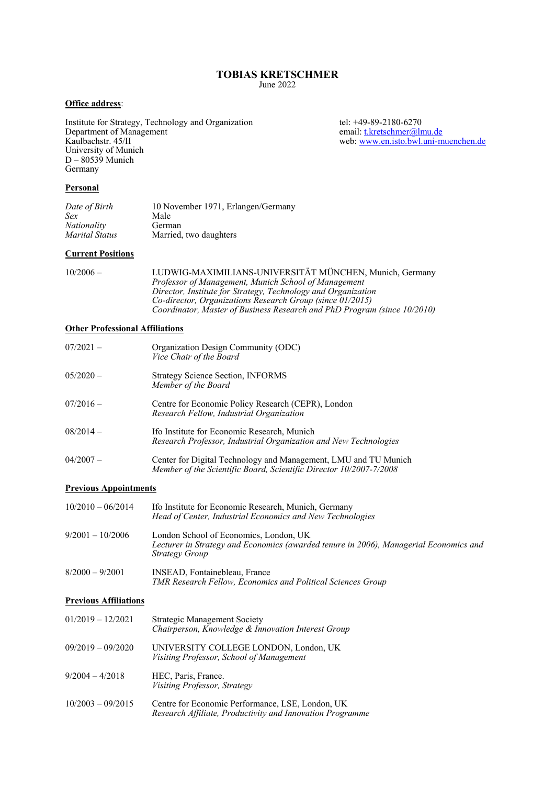# **TOBIAS KRETSCHMER**

June 2022

## **Office address**:

Institute for Strategy, Technology and Organization tel: +49-89-2180-6270<br>Department of Management tel: the test email: the test email: the test of Management Department of Management email: t.kretschmer@lmu.de Kaulbachstr. 45/II web: www.en.isto.bwl.uni-muenchen.de University of Munich D – 80539 Munich Germany

#### **Personal**

| Date of Birth  | 10 November 1971, Erlangen/Germany |
|----------------|------------------------------------|
| Sex            | Male                               |
| Nationality    | German                             |
| Marital Status | Married, two daughters             |

### **Current Positions**

| $10/2006 -$ | LUDWIG-MAXIMILIANS-UNIVERSITÄT MÜNCHEN, Munich, Germany                  |
|-------------|--------------------------------------------------------------------------|
|             | Professor of Management, Munich School of Management                     |
|             | Director, Institute for Strategy, Technology and Organization            |
|             | Co-director, Organizations Research Group (since 01/2015)                |
|             | Coordinator, Master of Business Research and PhD Program (since 10/2010) |

### **Other Professional Affiliations**

| 07/2021 –  | Organization Design Community (ODC)<br>Vice Chair of the Board                                                  |
|------------|-----------------------------------------------------------------------------------------------------------------|
| $05/2020-$ | <b>Strategy Science Section, INFORMS</b><br>Member of the Board                                                 |
| 07/2016 –  | Centre for Economic Policy Research (CEPR), London<br>Research Fellow, Industrial Organization                  |
| 08/2014 –  | Ifo Institute for Economic Research, Munich<br>Research Professor, Industrial Organization and New Technologies |
| 04/2007 —  | Center for Digital Technology and Management, LMU and TU Munich                                                 |

### **Previous Appointments**

| $10/2010 - 06/2014$ | Ifo Institute for Economic Research, Munich, Germany<br>Head of Center, Industrial Economics and New Technologies                                        |
|---------------------|----------------------------------------------------------------------------------------------------------------------------------------------------------|
| $9/2001 - 10/2006$  | London School of Economics, London, UK<br>Lecturer in Strategy and Economics (awarded tenure in 2006), Managerial Economics and<br><i>Strategy Group</i> |
| $8/2000 - 9/2001$   | INSEAD, Fontainebleau, France                                                                                                                            |

*TMR Research Fellow, Economics and Political Sciences Group* 

*Member of the Scientific Board, Scientific Director 10/2007-7/2008* 

## **Previous Affiliations**

| $01/2019 - 12/2021$ | <b>Strategic Management Society</b><br>Chairperson, Knowledge & Innovation Interest Group                     |
|---------------------|---------------------------------------------------------------------------------------------------------------|
| $09/2019 - 09/2020$ | UNIVERSITY COLLEGE LONDON, London, UK<br>Visiting Professor, School of Management                             |
| $9/2004 - 4/2018$   | HEC, Paris, France.<br>Visiting Professor, Strategy                                                           |
| $10/2003 - 09/2015$ | Centre for Economic Performance, LSE, London, UK<br>Research Affiliate, Productivity and Innovation Programme |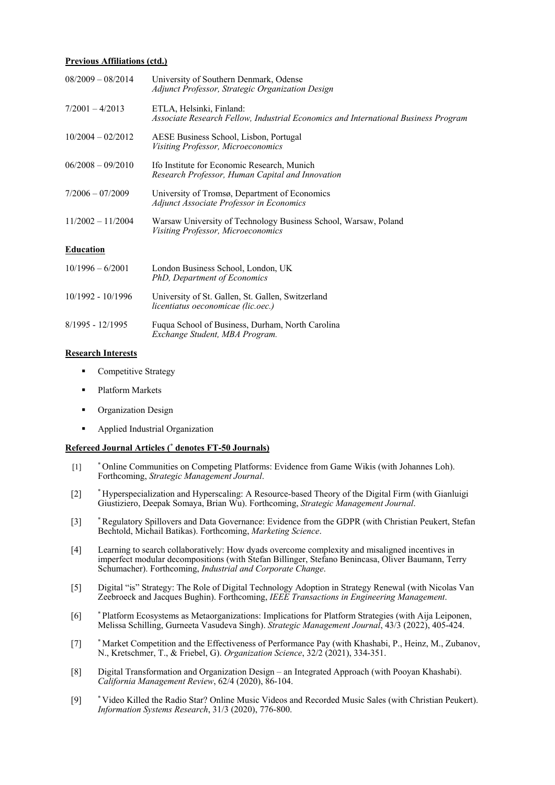### **Previous Affiliations (ctd.)**

| $08/2009 - 08/2014$ | University of Southern Denmark, Odense<br>Adjunct Professor, Strategic Organization Design                     |
|---------------------|----------------------------------------------------------------------------------------------------------------|
| $7/2001 - 4/2013$   | ETLA, Helsinki, Finland:<br>Associate Research Fellow, Industrial Economics and International Business Program |
| $10/2004 - 02/2012$ | AESE Business School, Lisbon, Portugal<br>Visiting Professor, Microeconomics                                   |
| $06/2008 - 09/2010$ | Ifo Institute for Economic Research, Munich<br>Research Professor, Human Capital and Innovation                |
| $7/2006 - 07/2009$  | University of Tromsø, Department of Economics<br>Adjunct Associate Professor in Economics                      |
| $11/2002 - 11/2004$ | Warsaw University of Technology Business School, Warsaw, Poland<br>Visiting Professor, Microeconomics          |
| <b>Education</b>    |                                                                                                                |
| $10/1996 - 6/2001$  | London Business School, London, UK<br>PhD, Department of Economics                                             |
| 10/1992 - 10/1996   | University of St. Gallen, St. Gallen, Switzerland<br>licentiatus oeconomicae (lic.oec.)                        |
| $8/1995 - 12/1995$  | Fuqua School of Business, Durham, North Carolina<br>Exchange Student, MBA Program.                             |

#### **Research Interests**

- Competitive Strategy
- Platform Markets
- **•** Organization Design
- Applied Industrial Organization

### **Refereed Journal Articles (\* denotes FT-50 Journals)**

- [1] \* Online Communities on Competing Platforms: Evidence from Game Wikis (with Johannes Loh). Forthcoming, *Strategic Management Journal*.
- [2] \* Hyperspecialization and Hyperscaling: A Resource-based Theory of the Digital Firm (with Gianluigi Giustiziero, Deepak Somaya, Brian Wu). Forthcoming, *Strategic Management Journal*.
- [3] \* Regulatory Spillovers and Data Governance: Evidence from the GDPR (with Christian Peukert, Stefan Bechtold, Michail Batikas). Forthcoming, *Marketing Science*.
- [4] Learning to search collaboratively: How dyads overcome complexity and misaligned incentives in imperfect modular decompositions (with Stefan Billinger, Stefano Benincasa, Oliver Baumann, Terry Schumacher). Forthcoming, *Industrial and Corporate Change*.
- [5] Digital "is" Strategy: The Role of Digital Technology Adoption in Strategy Renewal (with Nicolas Van Zeebroeck and Jacques Bughin). Forthcoming, *IEEE Transactions in Engineering Management*.
- [6] \* Platform Ecosystems as Metaorganizations: Implications for Platform Strategies (with Aija Leiponen, Melissa Schilling, Gurneeta Vasudeva Singh). *Strategic Management Journal*, 43/3 (2022), 405-424.
- [7] \* Market Competition and the Effectiveness of Performance Pay (with Khashabi, P., Heinz, M., Zubanov, N., Kretschmer, T., & Friebel, G). *Organization Science*, 32/2 (2021), 334-351.
- [8] Digital Transformation and Organization Design an Integrated Approach (with Pooyan Khashabi). *California Management Review*, 62/4 (2020), 86-104.
- [9] \* Video Killed the Radio Star? Online Music Videos and Recorded Music Sales (with Christian Peukert). *Information Systems Research*, 31/3 (2020), 776-800.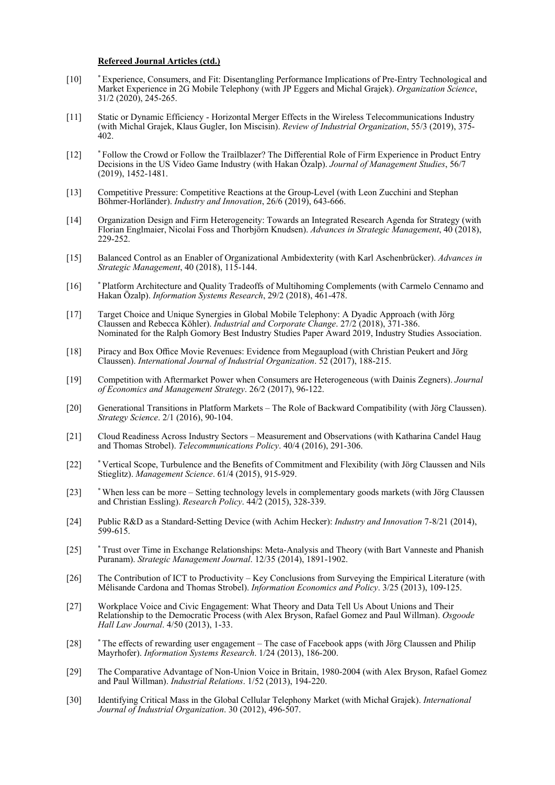#### **Refereed Journal Articles (ctd.)**

- [10] \* Experience, Consumers, and Fit: Disentangling Performance Implications of Pre-Entry Technological and Market Experience in 2G Mobile Telephony (with JP Eggers and Michal Grajek). *Organization Science*, 31/2 (2020), 245-265.
- [11] Static or Dynamic Efficiency Horizontal Merger Effects in the Wireless Telecommunications Industry (with Michal Grajek, Klaus Gugler, Ion Miscisin). *Review of Industrial Organization*, 55/3 (2019), 375-  $\angle 402$ .
- [12] \* Follow the Crowd or Follow the Trailblazer? The Differential Role of Firm Experience in Product Entry Decisions in the US Video Game Industry (with Hakan Özalp). *Journal of Management Studies*, 56/7 (2019), 1452-1481.
- [13] Competitive Pressure: Competitive Reactions at the Group-Level (with Leon Zucchini and Stephan Böhmer-Horländer). *Industry and Innovation*, 26/6 (2019), 643-666.
- [14] Organization Design and Firm Heterogeneity: Towards an Integrated Research Agenda for Strategy (with Florian Englmaier, Nicolai Foss and Thorbjörn Knudsen). *Advances in Strategic Management*, 40 (2018), 229-252.
- [15] Balanced Control as an Enabler of Organizational Ambidexterity (with Karl Aschenbrücker). *Advances in Strategic Management*, 40 (2018), 115-144.
- [16] \* Platform Architecture and Quality Tradeoffs of Multihoming Complements (with Carmelo Cennamo and Hakan Özalp). *Information Systems Research*, 29/2 (2018), 461-478.
- [17] Target Choice and Unique Synergies in Global Mobile Telephony: A Dyadic Approach (with Jörg Claussen and Rebecca Köhler). *Industrial and Corporate Change*. 27/2 (2018), 371-386. Nominated for the Ralph Gomory Best Industry Studies Paper Award 2019, Industry Studies Association.
- [18] Piracy and Box Office Movie Revenues: Evidence from Megaupload (with Christian Peukert and Jörg Claussen). *International Journal of Industrial Organization*. 52 (2017), 188-215.
- [19] Competition with Aftermarket Power when Consumers are Heterogeneous (with Dainis Zegners). *Journal of Economics and Management Strategy*. 26/2 (2017), 96-122.
- [20] Generational Transitions in Platform Markets The Role of Backward Compatibility (with Jörg Claussen). *Strategy Science*. 2/1 (2016), 90-104.
- [21] Cloud Readiness Across Industry Sectors Measurement and Observations (with Katharina Candel Haug and Thomas Strobel). *Telecommunications Policy*. 40/4 (2016), 291-306.
- [22] \* Vertical Scope, Turbulence and the Benefits of Commitment and Flexibility (with Jörg Claussen and Nils Stieglitz). *Management Science*. 61/4 (2015), 915-929.
- [23] \* When less can be more Setting technology levels in complementary goods markets (with Jörg Claussen and Christian Essling). *Research Policy*. 44/2 (2015), 328-339.
- [24] Public R&D as a Standard-Setting Device (with Achim Hecker): *Industry and Innovation* 7-8/21 (2014), 599-615.
- [25] \* Trust over Time in Exchange Relationships: Meta-Analysis and Theory (with Bart Vanneste and Phanish Puranam). *Strategic Management Journal*. 12/35 (2014), 1891-1902.
- [26] The Contribution of ICT to Productivity Key Conclusions from Surveying the Empirical Literature (with Mélisande Cardona and Thomas Strobel). *Information Economics and Policy*. 3/25 (2013), 109-125.
- [27] Workplace Voice and Civic Engagement: What Theory and Data Tell Us About Unions and Their Relationship to the Democratic Process (with Alex Bryson, Rafael Gomez and Paul Willman). *Osgoode Hall Law Journal*. 4/50 (2013), 1-33.
- [28] \* The effects of rewarding user engagement The case of Facebook apps (with Jörg Claussen and Philip Mayrhofer). *Information Systems Research*. 1/24 (2013), 186-200.
- [29] The Comparative Advantage of Non-Union Voice in Britain, 1980-2004 (with Alex Bryson, Rafael Gomez and Paul Willman). *Industrial Relations*. 1/52 (2013), 194-220.
- [30] Identifying Critical Mass in the Global Cellular Telephony Market (with Michał Grajek). *International Journal of Industrial Organization*. 30 (2012), 496-507.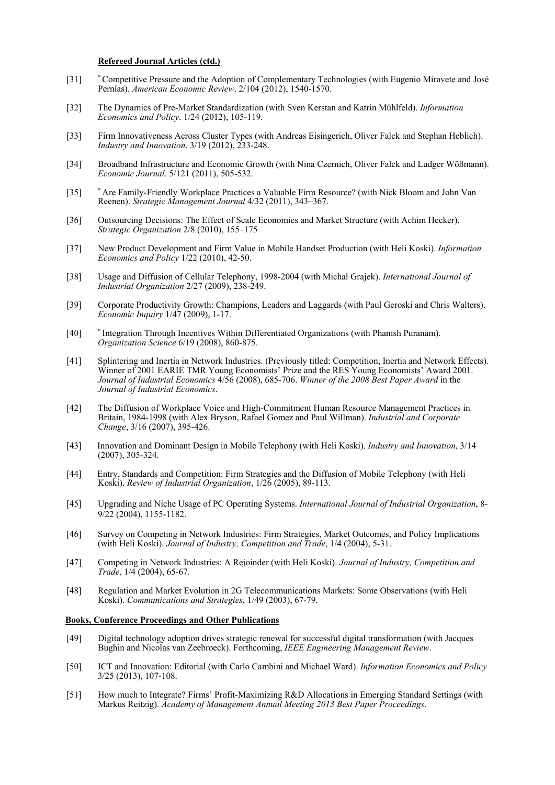#### **Refereed Journal Articles (ctd.)**

- [31] \* Competitive Pressure and the Adoption of Complementary Technologies (with Eugenio Miravete and José Pernías). *American Economic Review*. 2/104 (2012), 1540-1570.
- [32] The Dynamics of Pre-Market Standardization (with Sven Kerstan and Katrin Mühlfeld). *Information Economics and Policy*. 1/24 (2012), 105-119.
- [33] Firm Innovativeness Across Cluster Types (with Andreas Eisingerich, Oliver Falck and Stephan Heblich). *Industry and Innovation*. 3/19 (2012), 233-248.
- [34] Broadband Infrastructure and Economic Growth (with Nina Czernich, Oliver Falck and Ludger Wößmann). *Economic Journal*. 5/121 (2011), 505-532.
- [35] \* Are Family-Friendly Workplace Practices a Valuable Firm Resource? (with Nick Bloom and John Van Reenen). *Strategic Management Journal* 4/32 (2011), 343–367.
- [36] Outsourcing Decisions: The Effect of Scale Economies and Market Structure (with Achim Hecker). *Strategic Organization* 2/8 (2010), 155–175
- [37] New Product Development and Firm Value in Mobile Handset Production (with Heli Koski). *Information Economics and Policy* 1/22 (2010), 42-50.
- [38] Usage and Diffusion of Cellular Telephony, 1998-2004 (with Michał Grajek). *International Journal of Industrial Organization* 2/27 (2009), 238-249.
- [39] Corporate Productivity Growth: Champions, Leaders and Laggards (with Paul Geroski and Chris Walters). *Economic Inquiry* 1/47 (2009), 1-17.
- [40] \* Integration Through Incentives Within Differentiated Organizations (with Phanish Puranam). *Organization Science* 6/19 (2008), 860-875.
- [41] Splintering and Inertia in Network Industries. (Previously titled: Competition, Inertia and Network Effects). Winner of 2001 EARIE TMR Young Economists' Prize and the RES Young Economists' Award 2001. *Journal of Industrial Economics* 4/56 (2008), 685-706. *Winner of the 2008 Best Paper Award* in the *Journal of Industrial Economics*.
- [42] The Diffusion of Workplace Voice and High-Commitment Human Resource Management Practices in Britain, 1984-1998 (with Alex Bryson, Rafael Gomez and Paul Willman). *Industrial and Corporate Change*, 3/16 (2007), 395-426.
- [43] Innovation and Dominant Design in Mobile Telephony (with Heli Koski). *Industry and Innovation*, 3/14 (2007), 305-324.
- [44] Entry, Standards and Competition: Firm Strategies and the Diffusion of Mobile Telephony (with Heli Koski). *Review of Industrial Organization*, 1/26 (2005), 89-113.
- [45] Upgrading and Niche Usage of PC Operating Systems. *International Journal of Industrial Organization*, 8- 9/22 (2004), 1155-1182.
- [46] Survey on Competing in Network Industries: Firm Strategies, Market Outcomes, and Policy Implications (with Heli Koski). *Journal of Industry, Competition and Trade*, 1/4 (2004), 5-31.
- [47] Competing in Network Industries: A Rejoinder (with Heli Koski). *Journal of Industry, Competition and Trade*, 1/4 (2004), 65-67.
- [48] Regulation and Market Evolution in 2G Telecommunications Markets: Some Observations (with Heli Koski). *Communications and Strategies*, 1/49 (2003), 67-79.

#### **Books, Conference Proceedings and Other Publications**

- [49] Digital technology adoption drives strategic renewal for successful digital transformation (with Jacques Bughin and Nicolas van Zeebroeck). Forthcoming, *IEEE Engineering Management Review*.
- [50] ICT and Innovation: Editorial (with Carlo Cambini and Michael Ward). *Information Economics and Policy* 3/25 (2013), 107-108.
- [51] How much to Integrate? Firms' Profit-Maximizing R&D Allocations in Emerging Standard Settings (with Markus Reitzig). *Academy of Management Annual Meeting 2013 Best Paper Proceedings*.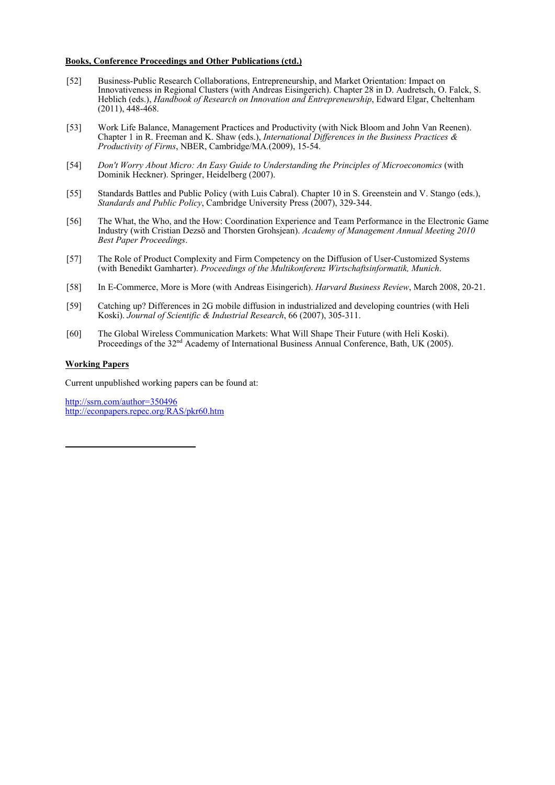#### **Books, Conference Proceedings and Other Publications (ctd.)**

- [52] Business-Public Research Collaborations, Entrepreneurship, and Market Orientation: Impact on Innovativeness in Regional Clusters (with Andreas Eisingerich). Chapter 28 in D. Audretsch, O. Falck, S. Heblich (eds.), *Handbook of Research on Innovation and Entrepreneurship*, Edward Elgar, Cheltenham  $(2011), \overrightarrow{448-468}.$
- [53] Work Life Balance, Management Practices and Productivity (with Nick Bloom and John Van Reenen). Chapter 1 in R. Freeman and K. Shaw (eds.), *International Differences in the Business Practices & Productivity of Firms*, NBER, Cambridge/MA.(2009), 15-54.
- [54] *Don't Worry About Micro: An Easy Guide to Understanding the Principles of Microeconomics* (with Dominik Heckner). Springer, Heidelberg (2007).
- [55] Standards Battles and Public Policy (with Luis Cabral). Chapter 10 in S. Greenstein and V. Stango (eds.), *Standards and Public Policy*, Cambridge University Press (2007), 329-344.
- [56] The What, the Who, and the How: Coordination Experience and Team Performance in the Electronic Game Industry (with Cristian Dezsö and Thorsten Grohsjean). *Academy of Management Annual Meeting 2010 Best Paper Proceedings*.
- [57] The Role of Product Complexity and Firm Competency on the Diffusion of User-Customized Systems (with Benedikt Gamharter). *Proceedings of the Multikonferenz Wirtschaftsinformatik, Munich*.
- [58] In E-Commerce, More is More (with Andreas Eisingerich). *Harvard Business Review*, March 2008, 20-21.
- [59] Catching up? Differences in 2G mobile diffusion in industrialized and developing countries (with Heli Koski). *Journal of Scientific & Industrial Research*, 66 (2007), 305-311.
- [60] The Global Wireless Communication Markets: What Will Shape Their Future (with Heli Koski). Proceedings of the 32<sup>nd</sup> Academy of International Business Annual Conference, Bath, UK (2005).

### **Working Papers**

Current unpublished working papers can be found at:

http://ssrn.com/author=350496 http://econpapers.repec.org/RAS/pkr60.htm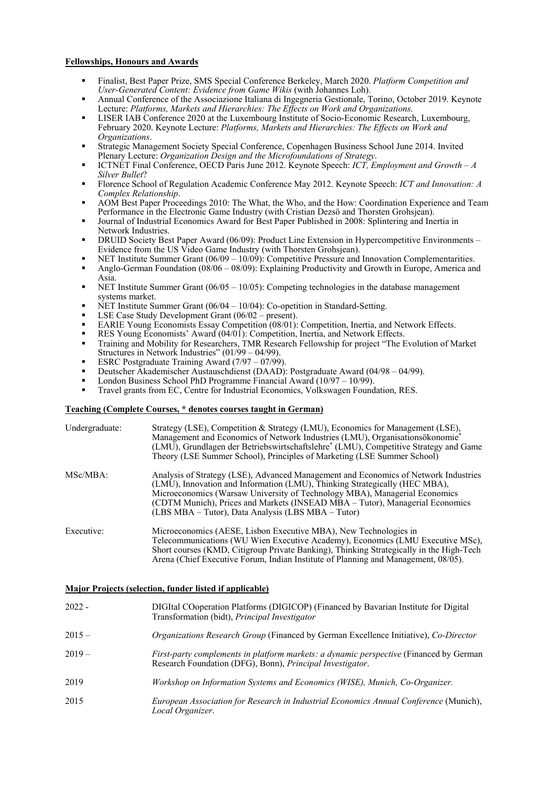### **Fellowships, Honours and Awards**

- Finalist, Best Paper Prize, SMS Special Conference Berkeley, March 2020. *Platform Competition and User-Generated Content: Evidence from Game Wikis* (with Johannes Loh).
- Annual Conference of the Associazione Italiana di Ingegneria Gestionale, Torino, October 2019. Keynote Lecture: *Platforms, Markets and Hierarchies: The Effects on Work and Organizations*.
- LISER IAB Conference 2020 at the Luxembourg Institute of Socio-Economic Research, Luxembourg, February 2020. Keynote Lecture: *Platforms, Markets and Hierarchies: The Effects on Work and Organizations*.
- Strategic Management Society Special Conference, Copenhagen Business School June 2014. Invited Plenary Lecture: *Organization Design and the Microfoundations of Strategy*.
- ICTNET Final Conference, OECD Paris June 2012. Keynote Speech: *ICT, Employment and Growth A Silver Bullet*?
- Florence School of Regulation Academic Conference May 2012. Keynote Speech: *ICT and Innovation: A Complex Relationship*.
- AOM Best Paper Proceedings 2010: The What, the Who, and the How: Coordination Experience and Team Performance in the Electronic Game Industry (with Cristian Dezsö and Thorsten Grohsjean).
- Journal of Industrial Economics Award for Best Paper Published in 2008: Splintering and Inertia in Network Industries.
- DRUID Society Best Paper Award (06/09): Product Line Extension in Hypercompetitive Environments Evidence from the US Video Game Industry (with Thorsten Grohsjean).
- NET Institute Summer Grant (06/09 10/09): Competitive Pressure and Innovation Complementarities.
- Anglo-German Foundation (08/06 08/09): Explaining Productivity and Growth in Europe, America and Asia.
- NET Institute Summer Grant (06/05 10/05): Competing technologies in the database management systems market.
- NET Institute Summer Grant  $(06/04 10/04)$ : Co-opetition in Standard-Setting.
- LSE Case Study Development Grant (06/02 present).
- EARIE Young Economists Essay Competition (08/01): Competition, Inertia, and Network Effects.
- RES Young Economists' Award (04/01): Competition, Inertia, and Network Effects.
- Training and Mobility for Researchers, TMR Research Fellowship for project "The Evolution of Market Structures in Network Industries" (01/99 – 04/99).
- ESRC Postgraduate Training Award (7/97 07/99).
- Deutscher Akademischer Austauschdienst (DAAD): Postgraduate Award (04/98 04/99).
- London Business School PhD Programme Financial Award (10/97 10/99).
- Travel grants from EC, Centre for Industrial Economics, Volkswagen Foundation, RES.

#### **Teaching (Complete Courses, \* denotes courses taught in German)**

| Undergraduate: | Strategy (LSE), Competition & Strategy (LMU), Economics for Management (LSE),<br>Management and Economics of Network Industries (LMU), Organisationsökonomie <sup>*</sup><br>(LMU), Grundlagen der Betriebswirtschaftslehre* (LMU), Competitive Strategy and Game<br>Theory (LSE Summer School), Principles of Marketing (LSE Summer School)                                          |
|----------------|---------------------------------------------------------------------------------------------------------------------------------------------------------------------------------------------------------------------------------------------------------------------------------------------------------------------------------------------------------------------------------------|
| MSc/MBA:       | Analysis of Strategy (LSE), Advanced Management and Economics of Network Industries<br>(LMU), Innovation and Information (LMU), Thinking Strategically (HEC MBA),<br>Microeconomics (Warsaw University of Technology MBA), Managerial Economics<br>(CDTM Munich), Prices and Markets (INSEAD MBA - Tutor), Managerial Economics<br>(LBS MBA – Tutor), Data Analysis (LBS MBA – Tutor) |
| Executive:     | Microeconomics (AESE, Lisbon Executive MBA), New Technologies in<br>Telecommunications (WU Wien Executive Academy), Economics (LMU Executive MSc),<br>Short courses (KMD, Citigroup Private Banking), Thinking Strategically in the High-Tech<br>Arena (Chief Executive Forum, Indian Institute of Planning and Management, 08/05).                                                   |

#### **Major Projects (selection, funder listed if applicable)**

| $2022 -$ | DIGItal COoperation Platforms (DIGICOP) (Financed by Bavarian Institute for Digital<br>Transformation (bidt), Principal Investigator                |
|----------|-----------------------------------------------------------------------------------------------------------------------------------------------------|
| $2015 -$ | Organizations Research Group (Financed by German Excellence Initiative), Co-Director                                                                |
| $2019-$  | First-party complements in platform markets: a dynamic perspective (Financed by German<br>Research Foundation (DFG), Bonn), Principal Investigator. |
| 2019     | Workshop on Information Systems and Economics (WISE), Munich, Co-Organizer.                                                                         |
| 2015     | European Association for Research in Industrial Economics Annual Conference (Munich),<br>Local Organizer.                                           |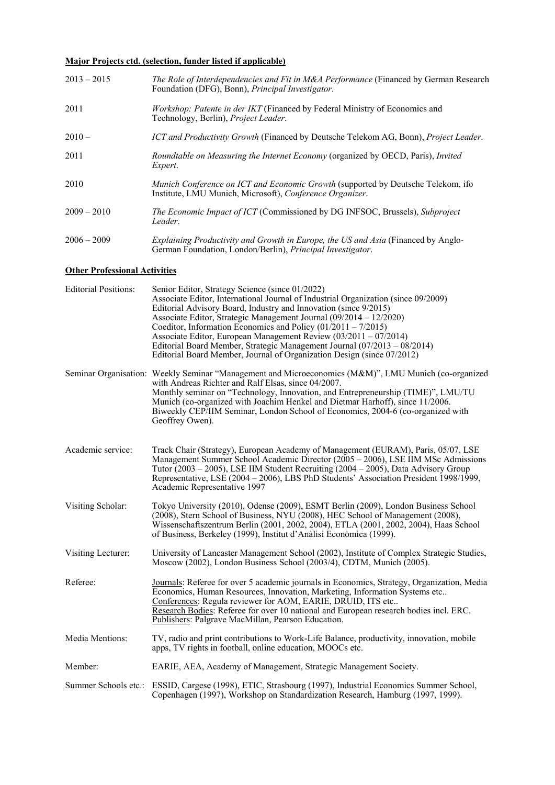## **Major Projects ctd. (selection, funder listed if applicable)**

| $2013 - 2015$ | <i>The Role of Interdependencies and Fit in M&amp;A Performance</i> (Financed by German Research<br>Foundation (DFG), Bonn), <i>Principal Investigator</i> .   |
|---------------|----------------------------------------------------------------------------------------------------------------------------------------------------------------|
| 2011          | Workshop: Patente in der IKT (Financed by Federal Ministry of Economics and<br>Technology, Berlin), <i>Project Leader</i> .                                    |
| $2010-$       | ICT and Productivity Growth (Financed by Deutsche Telekom AG, Bonn), Project Leader.                                                                           |
| 2011          | Roundtable on Measuring the Internet Economy (organized by OECD, Paris), Invited<br>Expert.                                                                    |
| 2010          | <i>Munich Conference on ICT and Economic Growth (supported by Deutsche Telekom, ifo</i><br>Institute, LMU Munich, Microsoft), Conference Organizer.            |
| $2009 - 2010$ | The Economic Impact of ICT (Commissioned by DG INFSOC, Brussels), Subproject<br>Leader.                                                                        |
| $2006 - 2009$ | <i>Explaining Productivity and Growth in Europe, the US and Asia (Financed by Anglo-</i><br>German Foundation, London/Berlin), <i>Principal Investigator</i> . |

### **Other Professional Activities**

| Senior Editor, Strategy Science (since 01/2022)<br>Associate Editor, International Journal of Industrial Organization (since 09/2009)<br>Editorial Advisory Board, Industry and Innovation (since 9/2015)<br>Associate Editor, Strategic Management Journal (09/2014 – 12/2020)<br>Coeditor, Information Economics and Policy $(01/2011 - 7/2015)$<br>Associate Editor, European Management Review (03/2011 - 07/2014)<br>Editorial Board Member, Strategic Management Journal (07/2013 – 08/2014)<br>Editorial Board Member, Journal of Organization Design (since 07/2012) |
|------------------------------------------------------------------------------------------------------------------------------------------------------------------------------------------------------------------------------------------------------------------------------------------------------------------------------------------------------------------------------------------------------------------------------------------------------------------------------------------------------------------------------------------------------------------------------|
| Seminar Organisation: Weekly Seminar "Management and Microeconomics (M&M)", LMU Munich (co-organized<br>with Andreas Richter and Ralf Elsas, since 04/2007.<br>Monthly seminar on "Technology, Innovation, and Entrepreneurship (TIME)", LMU/TU<br>Munich (co-organized with Joachim Henkel and Dietmar Harhoff), since 11/2006.<br>Biweekly CEP/IIM Seminar, London School of Economics, 2004-6 (co-organized with<br>Geoffrey Owen).                                                                                                                                       |
| Track Chair (Strategy), European Academy of Management (EURAM), Paris, 05/07, LSE<br>Management Summer School Academic Director $(2005 - 2006)$ , LSE IIM MSc Admissions<br>Tutor $(2003 - 2005)$ , LSE IIM Student Recruiting $(2004 - 2005)$ , Data Advisory Group<br>Representative, LSE (2004 – 2006), LBS PhD Students' Association President 1998/1999,<br>Academic Representative 1997                                                                                                                                                                                |
| Tokyo University (2010), Odense (2009), ESMT Berlin (2009), London Business School<br>(2008), Stern School of Business, NYU (2008), HEC School of Management (2008),<br>Wissenschaftszentrum Berlin (2001, 2002, 2004), ETLA (2001, 2002, 2004), Haas School<br>of Business, Berkeley (1999), Institut d'Anàlisi Econòmica (1999).                                                                                                                                                                                                                                           |
| University of Lancaster Management School (2002), Institute of Complex Strategic Studies,<br>Moscow (2002), London Business School (2003/4), CDTM, Munich (2005).                                                                                                                                                                                                                                                                                                                                                                                                            |
| Journals: Referee for over 5 academic journals in Economics, Strategy, Organization, Media<br>Economics, Human Resources, Innovation, Marketing, Information Systems etc<br>Conferences: Regula reviewer for AOM, EARIE, DRUID, ITS etc<br>Research Bodies: Referee for over 10 national and European research bodies incl. ERC.<br>Publishers: Palgrave MacMillan, Pearson Education.                                                                                                                                                                                       |
| TV, radio and print contributions to Work-Life Balance, productivity, innovation, mobile<br>apps, TV rights in football, online education, MOOCs etc.                                                                                                                                                                                                                                                                                                                                                                                                                        |
| EARIE, AEA, Academy of Management, Strategic Management Society.                                                                                                                                                                                                                                                                                                                                                                                                                                                                                                             |
| Summer Schools etc.: ESSID, Cargese (1998), ETIC, Strasbourg (1997), Industrial Economics Summer School,<br>Copenhagen (1997), Workshop on Standardization Research, Hamburg (1997, 1999).                                                                                                                                                                                                                                                                                                                                                                                   |
|                                                                                                                                                                                                                                                                                                                                                                                                                                                                                                                                                                              |